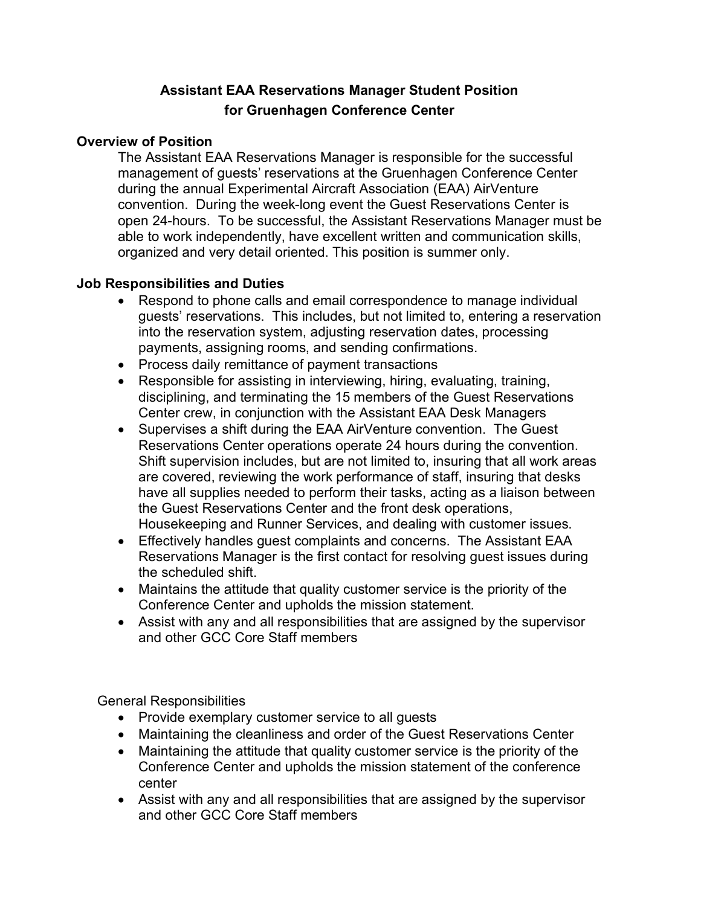# **Assistant EAA Reservations Manager Student Position for Gruenhagen Conference Center**

## **Overview of Position**

The Assistant EAA Reservations Manager is responsible for the successful management of guests' reservations at the Gruenhagen Conference Center during the annual Experimental Aircraft Association (EAA) AirVenture convention. During the week-long event the Guest Reservations Center is open 24-hours. To be successful, the Assistant Reservations Manager must be able to work independently, have excellent written and communication skills, organized and very detail oriented. This position is summer only.

#### **Job Responsibilities and Duties**

- Respond to phone calls and email correspondence to manage individual guests' reservations. This includes, but not limited to, entering a reservation into the reservation system, adjusting reservation dates, processing payments, assigning rooms, and sending confirmations.
- Process daily remittance of payment transactions
- Responsible for assisting in interviewing, hiring, evaluating, training, disciplining, and terminating the 15 members of the Guest Reservations Center crew, in conjunction with the Assistant EAA Desk Managers
- Supervises a shift during the EAA AirVenture convention. The Guest Reservations Center operations operate 24 hours during the convention. Shift supervision includes, but are not limited to, insuring that all work areas are covered, reviewing the work performance of staff, insuring that desks have all supplies needed to perform their tasks, acting as a liaison between the Guest Reservations Center and the front desk operations, Housekeeping and Runner Services, and dealing with customer issues.
- Effectively handles guest complaints and concerns. The Assistant EAA Reservations Manager is the first contact for resolving guest issues during the scheduled shift.
- Maintains the attitude that quality customer service is the priority of the Conference Center and upholds the mission statement.
- Assist with any and all responsibilities that are assigned by the supervisor and other GCC Core Staff members

General Responsibilities

- Provide exemplary customer service to all guests
- Maintaining the cleanliness and order of the Guest Reservations Center
- Maintaining the attitude that quality customer service is the priority of the Conference Center and upholds the mission statement of the conference center
- Assist with any and all responsibilities that are assigned by the supervisor and other GCC Core Staff members